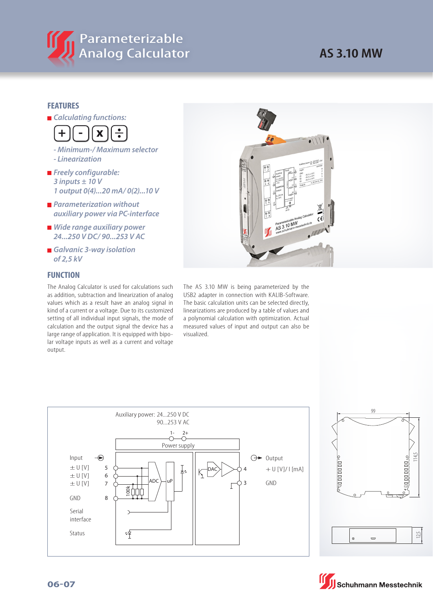

## **AS 3.10 MW**

## **FEATURES**

*<u></u>* Calculating functions:



- **Minimum-/ Maximum selector - Linearization**
- **Freely configurable: 3 inputs ± 10 V 1 output 0(4)...20 mA/ 0(2)...10 V**
- *<u><b> Parameterization without*</u>  **auxiliary power via PC-interface**
- **Nide range auxiliary power 24...250 V DC/ 90...253 V AC**
- Galvanic 3-way isolation  **of 2,5 kV**

## **FUNCTION**

The Analog Calculator is used for calculations such as addition, subtraction and linearization of analog values which as a result have an analog signal in kind of a current or a voltage. Due to its customized setting of all individual input signals, the mode of calculation and the output signal the device has a large range of application. It is equipped with bipolar voltage inputs as well as a current and voltage output.



The AS 3.10 MW is being parameterized by the USB2 adapter in connection with KALIB-Software. The basic calculation units can be selected directly, linearizations are produced by a table of values and a polynomial calculation with optimization. Actual measured values of input and output can also be visualized.